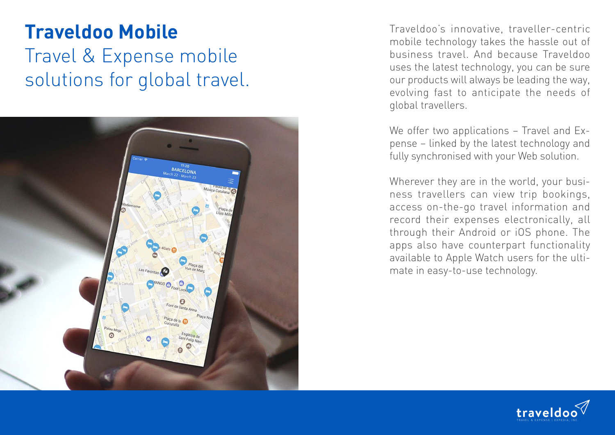## **Traveldoo Mobile** Travel & Expense mobile solutions for global travel.



Traveldoo's innovative, traveller-centric mobile technology takes the hassle out of business travel. And because Traveldoo uses the latest technology, you can be sure our products will always be leading the way, evolving fast to anticipate the needs of global travellers.

We offer two applications - Travel and Expense – linked by the latest technology and fully synchronised with your Web solution.

Wherever they are in the world, your busi ness travellers can view trip bookings, access on-the-go travel information and record their expenses electronically, all through their Android or iOS phone. The apps also have counterpart functionality available to Apple Watch users for the ulti mate in easy-to-use technology.

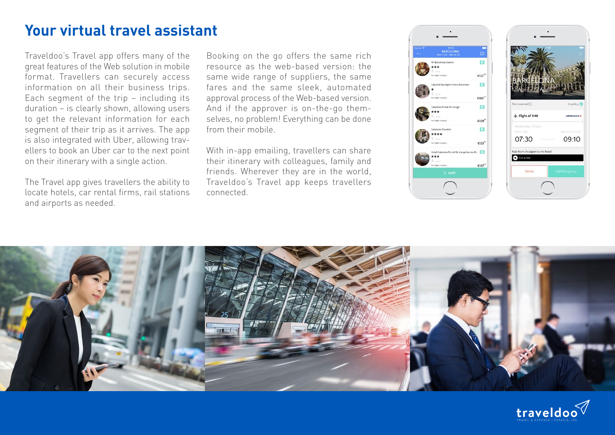## **Your virtual travel assistant**

Traveldoo's Travel app offers many of the great features of the Web solution in mobile format. Travellers can securely access information on all their business trips. Each segment of the trip – including its duration – is clearly shown, allowing users to get the relevant information for each segment of their trip as it arrives. The app is also integrated with Uber, allowing travellers to book an Uber car to the next point on their itinerary with a single action.

The Travel app gives travellers the ability to locate hotels, car rental firms, rail stations and airports as needed.

Booking on the go offers the same rich resource as the web-based version: the same wide range of suppliers, the same fares and the same sleek, automated approval process of the Web-based version. And if the approver is on-the-go themselves, no problem! Everything can be done from their mobile.

With in-app emailing, travellers can share their itinerary with colleagues, family and friends. Wherever they are in the world, Traveldoo's Travel app keeps travellers connected.